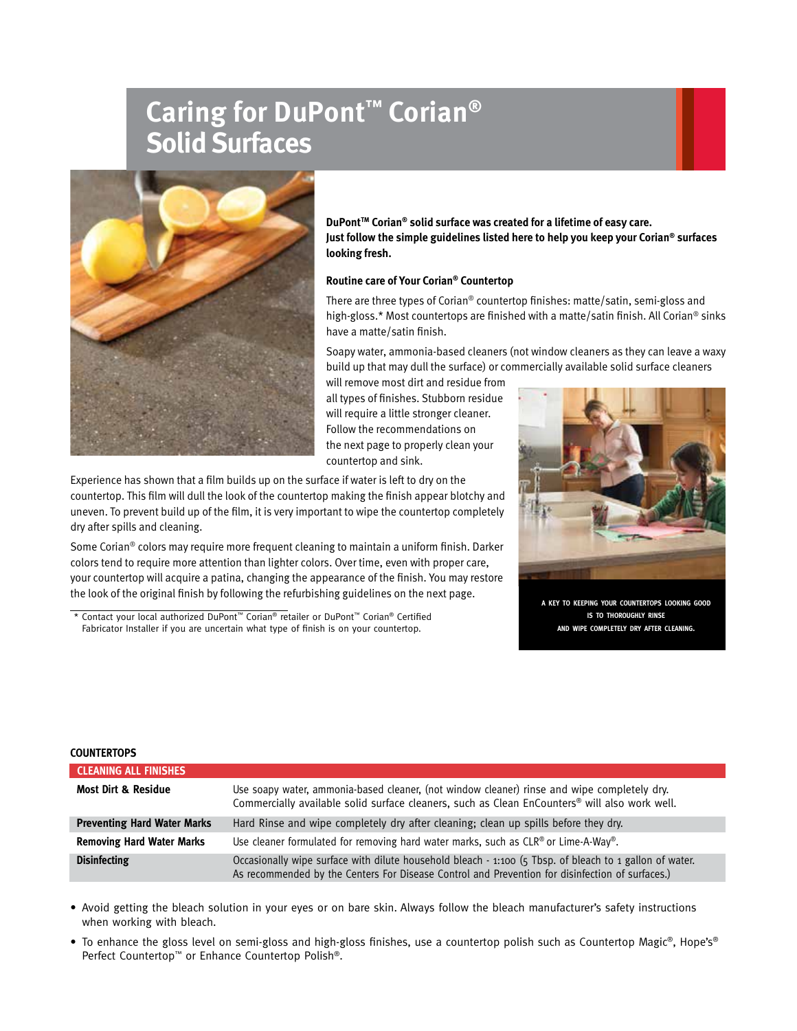# **Caring for DuPont™ Corian® Solid Surfaces**



**DuPont<sup>™</sup> Corian<sup>®</sup> solid surface was created for a lifetime of easy care. Just follow the simple guidelines listed here to help you keep your Corian® surfaces looking fresh.**

# **Routine care of Your Corian® Countertop**

There are three types of Corian® countertop finishes: matte/satin, semi-gloss and high-gloss.\* Most countertops are finished with a matte/satin finish. All Corian<sup>®</sup> sinks have a matte/satin finish.

Soapy water, ammonia-based cleaners (not window cleaners as they can leave a waxy build up that may dull the surface) or commercially available solid surface cleaners

will remove most dirt and residue from all types of finishes. Stubborn residue will require a little stronger cleaner. Follow the recommendations on the next page to properly clean your countertop and sink.

Experience has shown that a film builds up on the surface if water is left to dry on the countertop. This film will dull the look of the countertop making the finish appear blotchy and uneven. To prevent build up of the film, it is very important to wipe the countertop completely dry after spills and cleaning.

Some Corian® colors may require more frequent cleaning to maintain a uniform finish. Darker colors tend to require more attention than lighter colors. Over time, even with proper care, your countertop will acquire a patina, changing the appearance of the finish. You may restore the look of the original finish by following the refurbishing guidelines on the next page.

\* Contact your local authorized DuPont™ Corian® retailer or DuPont™ Corian® Certified Fabricator Installer if you are uncertain what type of finish is on your countertop.



**a key to keeping your countertops looking good is to thoroughly rinse and wipe completely dry after cleaning.**

## **COUNTERTOPS**

| <b>CLEANING ALL FINISHES</b>       |                                                                                                                                                                                                            |
|------------------------------------|------------------------------------------------------------------------------------------------------------------------------------------------------------------------------------------------------------|
| <b>Most Dirt &amp; Residue</b>     | Use soapy water, ammonia-based cleaner, (not window cleaner) rinse and wipe completely dry.<br>Commercially available solid surface cleaners, such as Clean EnCounters® will also work well.               |
| <b>Preventing Hard Water Marks</b> | Hard Rinse and wipe completely dry after cleaning; clean up spills before they dry.                                                                                                                        |
| <b>Removing Hard Water Marks</b>   | Use cleaner formulated for removing hard water marks, such as $CLR^{\circledast}$ or Lime-A-Way <sup>®</sup> .                                                                                             |
| <b>Disinfecting</b>                | Occasionally wipe surface with dilute household bleach - 1:100 (5 Tbsp. of bleach to 1 gallon of water.<br>As recommended by the Centers For Disease Control and Prevention for disinfection of surfaces.) |

• Avoid getting the bleach solution in your eyes or on bare skin. Always follow the bleach manufacturer's safety instructions when working with bleach.

• To enhance the gloss level on semi-gloss and high-gloss finishes, use a countertop polish such as Countertop Magic®, Hope's® Perfect Countertop™ or Enhance Countertop Polish®.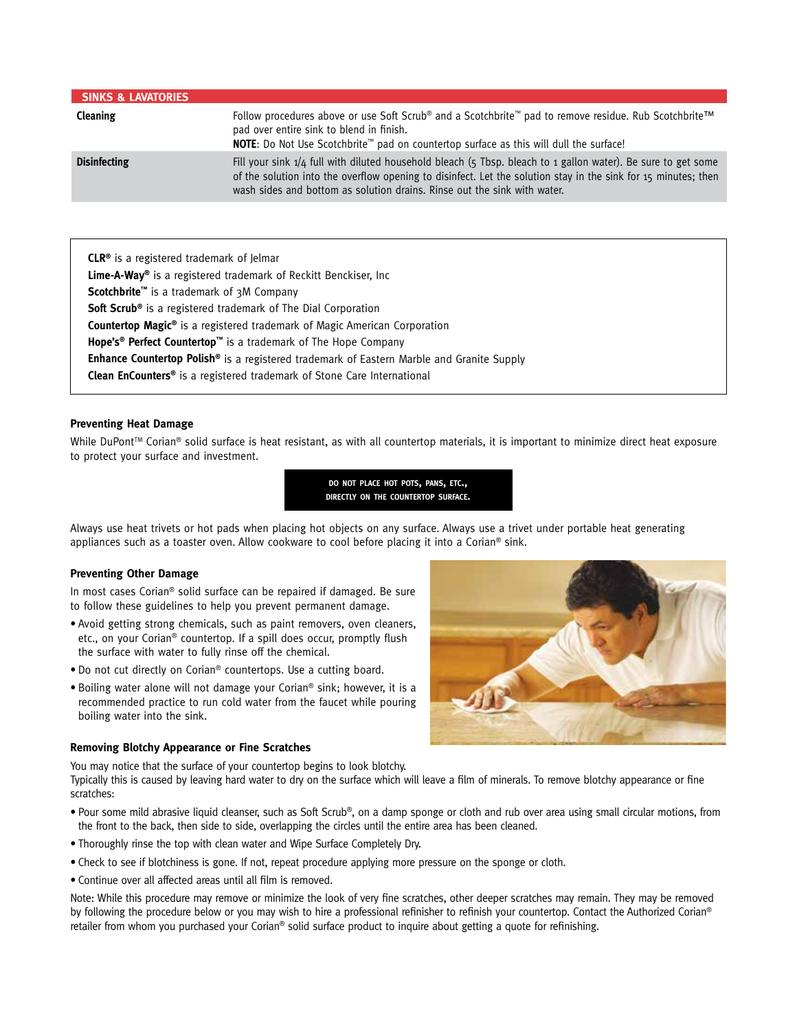| <b>SINKS &amp; LAVATORIES</b> |                                                                                                                                                                                                                                                                                                             |
|-------------------------------|-------------------------------------------------------------------------------------------------------------------------------------------------------------------------------------------------------------------------------------------------------------------------------------------------------------|
| Cleaning                      | Follow procedures above or use Soft Scrub® and a Scotchbrite™ pad to remove residue. Rub Scotchbrite™<br>pad over entire sink to blend in finish.<br>NOTE: Do Not Use Scotchbrite™ pad on countertop surface as this will dull the surface!                                                                 |
| <b>Disinfecting</b>           | Fill your sink 1/4 full with diluted household bleach (5 Tbsp. bleach to 1 gallon water). Be sure to get some<br>of the solution into the overflow opening to disinfect. Let the solution stay in the sink for 15 minutes; then<br>wash sides and bottom as solution drains. Rinse out the sink with water. |

**CLR®** is a registered trademark of Jelmar **Lime-A-Way®** is a registered trademark of Reckitt Benckiser, Inc **Scotchbrite™** is a trademark of 3M Company **Soft Scrub®** is a registered trademark of The Dial Corporation **Countertop Magic®** is a registered trademark of Magic American Corporation **Hope's® Perfect Countertop™** is a trademark of The Hope Company **Enhance Countertop Polish®** is a registered trademark of Eastern Marble and Granite Supply **Clean EnCounters®** is a registered trademark of Stone Care International

# **Preventing Heat Damage**

While DuPont<sup>™</sup> Corian<sup>®</sup> solid surface is heat resistant, as with all countertop materials, it is important to minimize direct heat exposure to protect your surface and investment.



Always use heat trivets or hot pads when placing hot objects on any surface. Always use a trivet under portable heat generating appliances such as a toaster oven. Allow cookware to cool before placing it into a Corian® sink.

## **Preventing Other Damage**

In most cases Corian® solid surface can be repaired if damaged. Be sure to follow these guidelines to help you prevent permanent damage.

- • Avoid getting strong chemicals, such as paint removers, oven cleaners, etc., on your Corian® countertop. If a spill does occur, promptly flush the surface with water to fully rinse off the chemical.
- Do not cut directly on Corian® countertops. Use a cutting board.
- Boiling water alone will not damage your Corian® sink; however, it is a recommended practice to run cold water from the faucet while pouring boiling water into the sink.

## **Removing Blotchy Appearance or Fine Scratches**

You may notice that the surface of your countertop begins to look blotchy.

Typically this is caused by leaving hard water to dry on the surface which will leave a film of minerals. To remove blotchy appearance or fine scratches:

- Pour some mild abrasive liquid cleanser, such as Soft Scrub®, on a damp sponge or cloth and rub over area using small circular motions, from the front to the back, then side to side, overlapping the circles until the entire area has been cleaned.
- Thoroughly rinse the top with clean water and Wipe Surface Completely Dry.
- Check to see if blotchiness is gone. If not, repeat procedure applying more pressure on the sponge or cloth.
- Continue over all affected areas until all film is removed.

Note: While this procedure may remove or minimize the look of very fine scratches, other deeper scratches may remain. They may be removed by following the procedure below or you may wish to hire a professional refinisher to refinish your countertop. Contact the Authorized Corian® retailer from whom you purchased your Corian® solid surface product to inquire about getting a quote for refinishing.